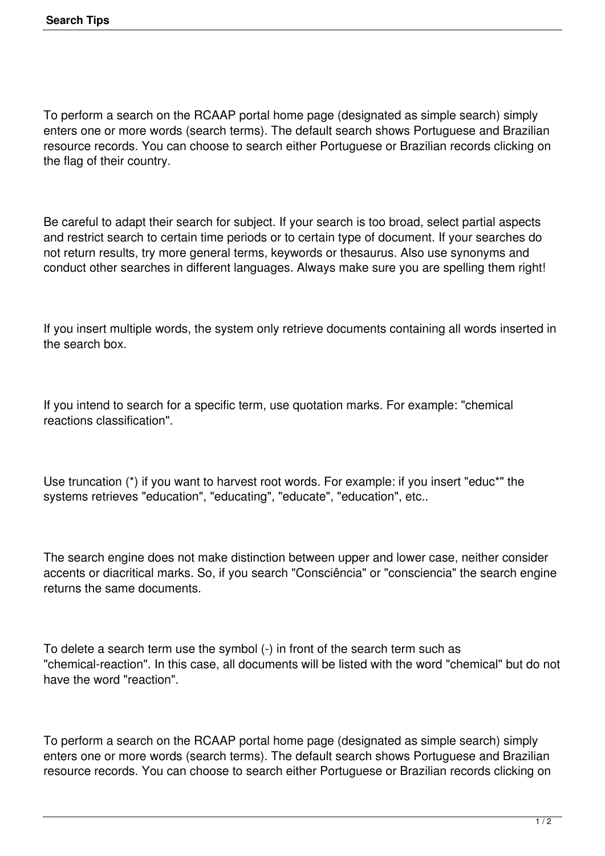To perform a search on the RCAAP portal home page (designated as simple search) simply enters one or more words (search terms). The default search shows Portuguese and Brazilian resource records. You can choose to search either Portuguese or Brazilian records clicking on the flag of their country.

Be careful to adapt their search for subject. If your search is too broad, select partial aspects and restrict search to certain time periods or to certain type of document. If your searches do not return results, try more general terms, keywords or thesaurus. Also use synonyms and conduct other searches in different languages. Always make sure you are spelling them right!

If you insert multiple words, the system only retrieve documents containing all words inserted in the search box.

If you intend to search for a specific term, use quotation marks. For example: "chemical reactions classification".

Use truncation (\*) if you want to harvest root words. For example: if you insert "educ\*" the systems retrieves "education", "educating", "educate", "education", etc..

The search engine does not make distinction between upper and lower case, neither consider accents or diacritical marks. So, if you search "Consciência" or "consciencia" the search engine returns the same documents.

To delete a search term use the symbol (-) in front of the search term such as "chemical-reaction". In this case, all documents will be listed with the word "chemical" but do not have the word "reaction".

To perform a search on the RCAAP portal home page (designated as simple search) simply enters one or more words (search terms). The default search shows Portuguese and Brazilian resource records. You can choose to search either Portuguese or Brazilian records clicking on